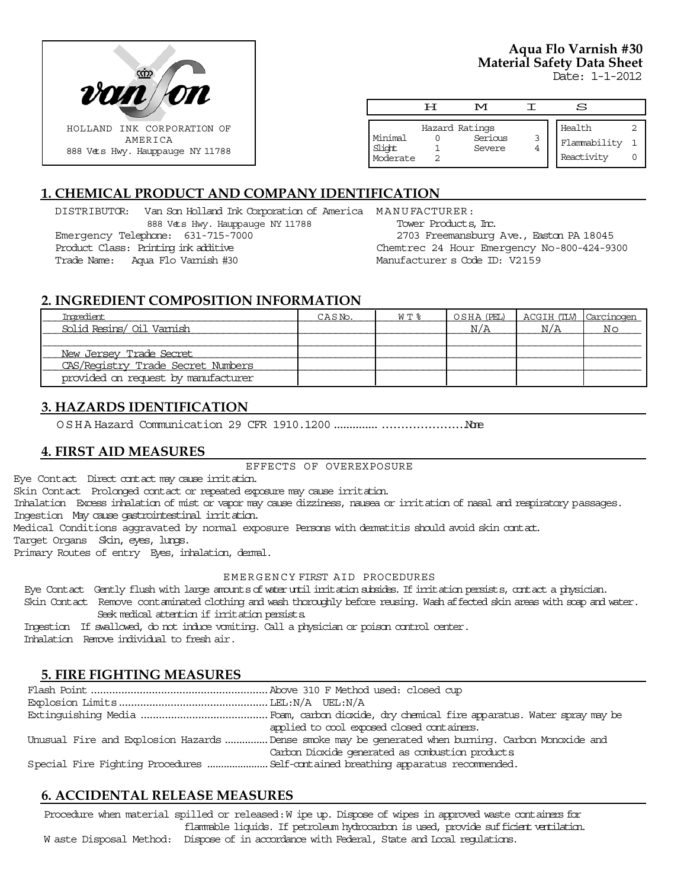

# **Aqua Flo Varnish #30 Material Safety Data Sheet**

Date: 1-1-2012

|                               | ਸ | M                                   |   | S                                    |  |
|-------------------------------|---|-------------------------------------|---|--------------------------------------|--|
| Minimal<br>Slight<br>Moderate |   | Hazard Ratings<br>Serious<br>Severe | 3 | Health<br>Flammability<br>Reactivity |  |

# **1. CHEMICAL PRODUCT AND COMPANY IDENTIFICATION**

DISTRIBUTOR: Van Son Holland Ink Corporation of America MANUFACTURER: 888 Vets Hwy. Hauppauge NY 11788 Emergency Telephone: 631-715-7000 Product Class: Printing ink additive Trade Name: Aqua Flo Varnish #30

Tower Products, Inc. 2703 Freemansburg Ave., Easton PA 18045 Chemtrec 24 Hour Emergency No-800-424-9300 Manufacturer s Code ID: V2159

# **2. INGREDIENT COMPOSITION INFORMATION**

| Ingredient                          | CASN <sub>o</sub> . | $W T$ % | OSHA (PEL) | ACGIH (TLV) Carcinogen |                |
|-------------------------------------|---------------------|---------|------------|------------------------|----------------|
| Solid Resins/ Oil Vamish            |                     |         | N/A        | N/A                    | N <sub>O</sub> |
|                                     |                     |         |            |                        |                |
| New Jersey Trade Secret             |                     |         |            |                        |                |
| CAS/Registry Trade Secret Numbers   |                     |         |            |                        |                |
| provided on request by manufacturer |                     |         |            |                        |                |

# **3. HAZARDS IDENTIFICATION**

OSHA Hazard Communication 29 CFR 1910.1200....................................None

# **4. FIRST AID MEASURES**

#### EFFECTS OF OVEREXPOSURE

Eye Contact Direct contact may cause irritation.

Skin Contact Prolonged contact or repeated exposure may cause irritation.

Inhalation Excess inhalation of mist or vapor may cause dizziness, nausea or irritation of nasal and respiratory passages. Ingestion May cause gastrointestinal irritation.

Medical Conditions aggravated by normal exposure Persons with dermatitis should avoid skin contact.

Target Organs Skin, eyes, lungs.

Primary Routes of entry Eyes, inhalation, dermal.

#### EMERGENCY FIRST AID PROCEDURES

Eye Contact Gently flush with large amounts of water until irritation subsides. If irritation persists, contact a physician.

 Skin Contact Remove contaminated clothing and wash thoroughly before reusing. Wash affected skin areas with soap and water. Seek medical attention if irritation persists.

 Ingestion If swallowed, do not induce vomiting. Call a physician or poison control center. Inhalation Remove individual to fresh air.

# **5. FIRE FIGHTING MEASURES**

| applied to cool exposed closed containers.                                                        |
|---------------------------------------------------------------------------------------------------|
| Unusual Fire and Explosion Hazards Dense smoke may be generated when burning. Carbon Monoxide and |
| Carbon Dioxide generated as combustion products                                                   |
|                                                                                                   |

# **6. ACCIDENTAL RELEASE MEASURES**

Procedure when material spilled or released: W ipe up. Dispose of wipes in approved waste containers for flammable liquids. If petroleum hydrocarbon is used, provide sufficient ventilation. W aste Disposal Method: Dispose of in accordance with Federal, State and Local regulations.